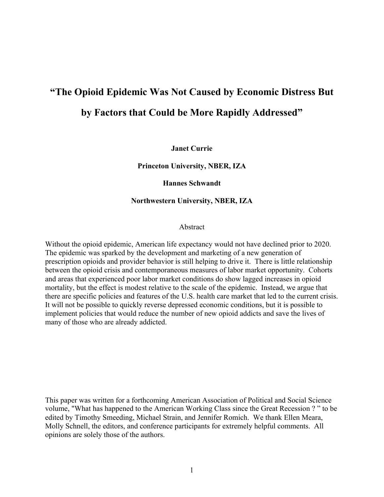# **"The Opioid Epidemic Was Not Caused by Economic Distress But by Factors that Could be More Rapidly Addressed"**

**Janet Currie**

**Princeton University, NBER, IZA**

**Hannes Schwandt** 

**Northwestern University, NBER, IZA**

Abstract

Without the opioid epidemic, American life expectancy would not have declined prior to 2020. The epidemic was sparked by the development and marketing of a new generation of prescription opioids and provider behavior is still helping to drive it. There is little relationship between the opioid crisis and contemporaneous measures of labor market opportunity. Cohorts and areas that experienced poor labor market conditions do show lagged increases in opioid mortality, but the effect is modest relative to the scale of the epidemic. Instead, we argue that there are specific policies and features of the U.S. health care market that led to the current crisis. It will not be possible to quickly reverse depressed economic conditions, but it is possible to implement policies that would reduce the number of new opioid addicts and save the lives of many of those who are already addicted.

This paper was written for a forthcoming American Association of Political and Social Science volume, "What has happened to the American Working Class since the Great Recession ? " to be edited by Timothy Smeeding, Michael Strain, and Jennifer Romich. We thank Ellen Meara, Molly Schnell, the editors, and conference participants for extremely helpful comments. All opinions are solely those of the authors.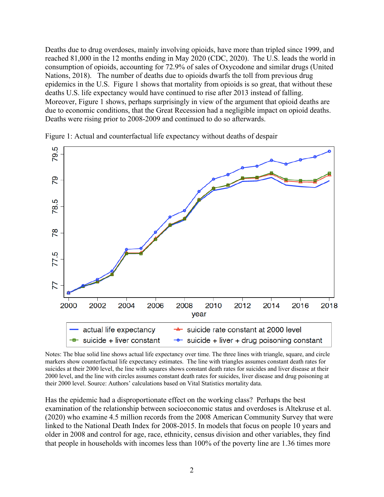Deaths due to drug overdoses, mainly involving opioids, have more than tripled since 1999, and reached 81,000 in the 12 months ending in May 2020 (CDC, 2020). The U.S. leads the world in consumption of opioids, accounting for 72.9% of sales of Oxycodone and similar drugs (United Nations, 2018). The number of deaths due to opioids dwarfs the toll from previous drug epidemics in the U.S. Figure 1 shows that mortality from opioids is so great, that without these deaths U.S. life expectancy would have continued to rise after 2013 instead of falling. Moreover, Figure 1 shows, perhaps surprisingly in view of the argument that opioid deaths are due to economic conditions, that the Great Recession had a negligible impact on opioid deaths. Deaths were rising prior to 2008-2009 and continued to do so afterwards.



Figure 1: Actual and counterfactual life expectancy without deaths of despair

Notes: The blue solid line shows actual life expectancy over time. The three lines with triangle, square, and circle markers show counterfactual life expectancy estimates. The line with triangles assumes constant death rates for suicides at their 2000 level, the line with squares shows constant death rates for suicides and liver disease at their 2000 level, and the line with circles assumes constant death rates for suicides, liver disease and drug poisoning at their 2000 level. Source: Authors' calculations based on Vital Statistics mortality data.

Has the epidemic had a disproportionate effect on the working class? Perhaps the best examination of the relationship between socioeconomic status and overdoses is Altekruse et al. (2020) who examine 4.5 million records from the 2008 American Community Survey that were linked to the National Death Index for 2008-2015. In models that focus on people 10 years and older in 2008 and control for age, race, ethnicity, census division and other variables, they find that people in households with incomes less than 100% of the poverty line are 1.36 times more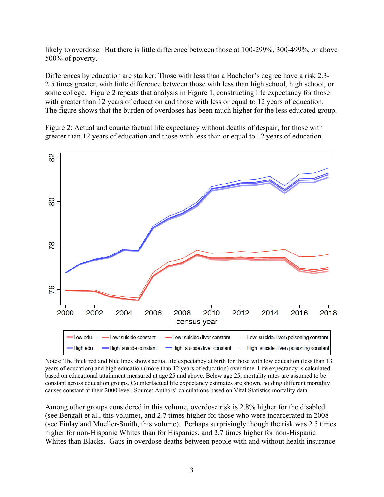likely to overdose. But there is little difference between those at 100-299%, 300-499%, or above 500% of poverty.

Differences by education are starker: Those with less than a Bachelor's degree have a risk 2.3- 2.5 times greater, with little difference between those with less than high school, high school, or some college. Figure 2 repeats that analysis in Figure 1, constructing life expectancy for those with greater than 12 years of education and those with less or equal to 12 years of education. The figure shows that the burden of overdoses has been much higher for the less educated group.

Figure 2: Actual and counterfactual life expectancy without deaths of despair, for those with greater than 12 years of education and those with less than or equal to 12 years of education



Notes: The thick red and blue lines shows actual life expectancy at birth for those with low education (less than 13 years of education) and high education (more than 12 years of education) over time. Life expectancy is calculated based on educational attainment measured at age 25 and above. Below age 25, mortality rates are assumed to be constant across education groups. Counterfactual life expectancy estimates are shown, holding different mortality causes constant at their 2000 level. Source: Authors' calculations based on Vital Statistics mortality data.

Among other groups considered in this volume, overdose risk is 2.8% higher for the disabled (see Bengali et al., this volume), and 2.7 times higher for those who were incarcerated in 2008 (see Finlay and Mueller-Smith, this volume). Perhaps surprisingly though the risk was 2.5 times higher for non-Hispanic Whites than for Hispanics, and 2.7 times higher for non-Hispanic Whites than Blacks. Gaps in overdose deaths between people with and without health insurance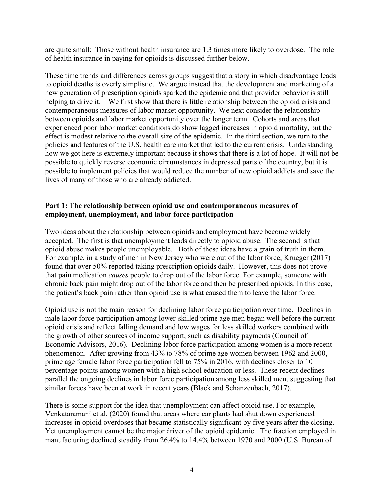are quite small: Those without health insurance are 1.3 times more likely to overdose. The role of health insurance in paying for opioids is discussed further below.

These time trends and differences across groups suggest that a story in which disadvantage leads to opioid deaths is overly simplistic. We argue instead that the development and marketing of a new generation of prescription opioids sparked the epidemic and that provider behavior is still helping to drive it. We first show that there is little relationship between the opioid crisis and contemporaneous measures of labor market opportunity. We next consider the relationship between opioids and labor market opportunity over the longer term. Cohorts and areas that experienced poor labor market conditions do show lagged increases in opioid mortality, but the effect is modest relative to the overall size of the epidemic. In the third section, we turn to the policies and features of the U.S. health care market that led to the current crisis. Understanding how we got here is extremely important because it shows that there is a lot of hope. It will not be possible to quickly reverse economic circumstances in depressed parts of the country, but it is possible to implement policies that would reduce the number of new opioid addicts and save the lives of many of those who are already addicted.

#### **Part 1: The relationship between opioid use and contemporaneous measures of employment, unemployment, and labor force participation**

Two ideas about the relationship between opioids and employment have become widely accepted. The first is that unemployment leads directly to opioid abuse. The second is that opioid abuse makes people unemployable. Both of these ideas have a grain of truth in them. For example, in a study of men in New Jersey who were out of the labor force, Krueger (2017) found that over 50% reported taking prescription opioids daily. However, this does not prove that pain medication *causes* people to drop out of the labor force. For example, someone with chronic back pain might drop out of the labor force and then be prescribed opioids. In this case, the patient's back pain rather than opioid use is what caused them to leave the labor force.

Opioid use is not the main reason for declining labor force participation over time. Declines in male labor force participation among lower-skilled prime age men began well before the current opioid crisis and reflect falling demand and low wages for less skilled workers combined with the growth of other sources of income support, such as disability payments (Council of Economic Advisors, 2016). Declining labor force participation among women is a more recent phenomenon. After growing from 43% to 78% of prime age women between 1962 and 2000, prime age female labor force participation fell to 75% in 2016, with declines closer to 10 percentage points among women with a high school education or less. These recent declines parallel the ongoing declines in labor force participation among less skilled men, suggesting that similar forces have been at work in recent years (Black and Schanzenbach, 2017).

There is some support for the idea that unemployment can affect opioid use. For example, Venkataramani et al. (2020) found that areas where car plants had shut down experienced increases in opioid overdoses that became statistically significant by five years after the closing. Yet unemployment cannot be the major driver of the opioid epidemic. The fraction employed in manufacturing declined steadily from 26.4% to 14.4% between 1970 and 2000 (U.S. Bureau of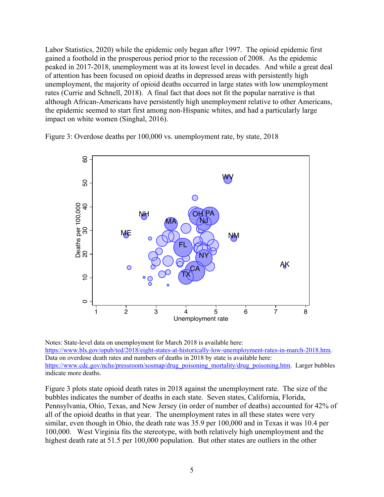Labor Statistics, 2020) while the epidemic only began after 1997. The opioid epidemic first gained a foothold in the prosperous period prior to the recession of 2008. As the epidemic peaked in 2017-2018, unemployment was at its lowest level in decades. And while a great deal of attention has been focused on opioid deaths in depressed areas with persistently high unemployment, the majority of opioid deaths occurred in large states with low unemployment rates (Currie and Schnell, 2018). A final fact that does not fit the popular narrative is that although African-Americans have persistently high unemployment relative to other Americans, the epidemic seemed to start first among non-Hispanic whites, and had a particularly large impact on white women (Singhal, 2016).

Figure 3: Overdose deaths per 100,000 vs. unemployment rate, by state, 2018



Notes: State-level data on unemployment for March 2018 is available here: https://www.bls.gov/opub/ted/2018/eight-states-at-historically-low-unemployment-rates-in-march-2018.htm. Data on overdose death rates and numbers of deaths in 2018 by state is available here: https://www.cdc.gov/nchs/pressroom/sosmap/drug\_poisoning\_mortality/drug\_poisoning.htm. Larger bubbles indicate more deaths.

Figure 3 plots state opioid death rates in 2018 against the unemployment rate. The size of the bubbles indicates the number of deaths in each state. Seven states, California, Florida, Pennsylvania, Ohio, Texas, and New Jersey (in order of number of deaths) accounted for 42% of all of the opioid deaths in that year. The unemployment rates in all these states were very similar, even though in Ohio, the death rate was 35.9 per 100,000 and in Texas it was 10.4 per 100,000. West Virginia fits the stereotype, with both relatively high unemployment and the highest death rate at 51.5 per 100,000 population. But other states are outliers in the other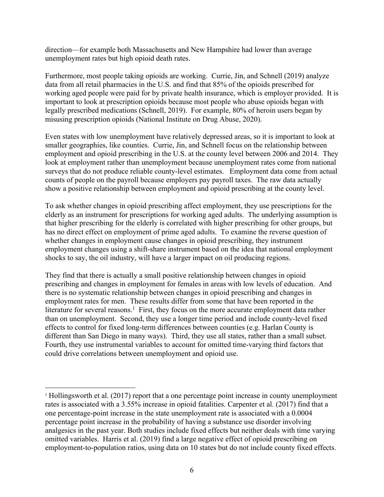direction—for example both Massachusetts and New Hampshire had lower than average unemployment rates but high opioid death rates.

Furthermore, most people taking opioids are working. Currie, Jin, and Schnell (2019) analyze data from all retail pharmacies in the U.S. and find that 85% of the opioids prescribed for working aged people were paid for by private health insurance, which is employer provided. It is important to look at prescription opioids because most people who abuse opioids began with legally prescribed medications (Schnell, 2019). For example, 80% of heroin users began by misusing prescription opioids (National Institute on Drug Abuse, 2020).

Even states with low unemployment have relatively depressed areas, so it is important to look at smaller geographies, like counties. Currie, Jin, and Schnell focus on the relationship between employment and opioid prescribing in the U.S. at the county level between 2006 and 2014. They look at employment rather than unemployment because unemployment rates come from national surveys that do not produce reliable county-level estimates. Employment data come from actual counts of people on the payroll because employers pay payroll taxes. The raw data actually show a positive relationship between employment and opioid prescribing at the county level.

To ask whether changes in opioid prescribing affect employment, they use prescriptions for the elderly as an instrument for prescriptions for working aged adults. The underlying assumption is that higher prescribing for the elderly is correlated with higher prescribing for other groups, but has no direct effect on employment of prime aged adults. To examine the reverse question of whether changes in employment cause changes in opioid prescribing, they instrument employment changes using a shift-share instrument based on the idea that national employment shocks to say, the oil industry, will have a larger impact on oil producing regions.

They find that there is actually a small positive relationship between changes in opioid prescribing and changes in employment for females in areas with low levels of education. And there is no systematic relationship between changes in opioid prescribing and changes in employment rates for men. These results differ from some that have been reported in the literature for several reasons.<sup>1</sup> First, they focus on the more accurate employment data rather than on unemployment. Second, they use a longer time period and include county-level fixed effects to control for fixed long-term differences between counties (e.g. Harlan County is different than San Diego in many ways). Third, they use all states, rather than a small subset. Fourth, they use instrumental variables to account for omitted time-varying third factors that could drive correlations between unemployment and opioid use.

<sup>1</sup> Hollingsworth et al. (2017) report that a one percentage point increase in county unemployment rates is associated with a 3.55% increase in opioid fatalities. Carpenter et al. (2017) find that a one percentage-point increase in the state unemployment rate is associated with a 0.0004 percentage point increase in the probability of having a substance use disorder involving analgesics in the past year. Both studies include fixed effects but neither deals with time varying omitted variables. Harris et al. (2019) find a large negative effect of opioid prescribing on employment-to-population ratios, using data on 10 states but do not include county fixed effects.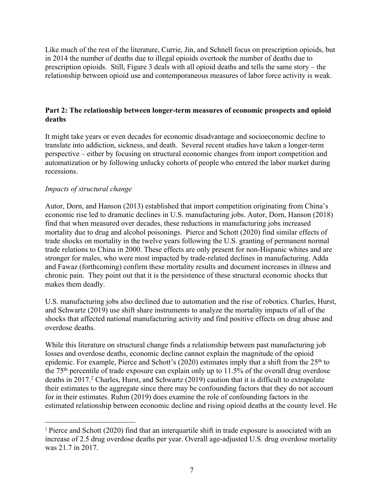Like much of the rest of the literature, Currie, Jin, and Schnell focus on prescription opioids, but in 2014 the number of deaths due to illegal opioids overtook the number of deaths due to prescription opioids. Still, Figure 3 deals with all opioid deaths and tells the same story – the relationship between opioid use and contemporaneous measures of labor force activity is weak.

#### **Part 2: The relationship between longer-term measures of economic prospects and opioid deaths**

It might take years or even decades for economic disadvantage and socioeconomic decline to translate into addiction, sickness, and death. Several recent studies have taken a longer-term perspective – either by focusing on structural economic changes from import competition and automatization or by following unlucky cohorts of people who entered the labor market during recessions.

# *Impacts of structural change*

Autor, Dorn, and Hanson (2013) established that import competition originating from China's economic rise led to dramatic declines in U.S. manufacturing jobs. Autor, Dorn, Hanson (2018) find that when measured over decades, these reductions in manufacturing jobs increased mortality due to drug and alcohol poisonings. Pierce and Schott (2020) find similar effects of trade shocks on mortality in the twelve years following the U.S. granting of permanent normal trade relations to China in 2000. These effects are only present for non-Hispanic whites and are stronger for males, who were most impacted by trade-related declines in manufacturing. Adda and Fawaz (forthcoming) confirm these mortality results and document increases in illness and chronic pain. They point out that it is the persistence of these structural economic shocks that makes them deadly.

U.S. manufacturing jobs also declined due to automation and the rise of robotics. Charles, Hurst, and Schwartz (2019) use shift share instruments to analyze the mortality impacts of all of the shocks that affected national manufacturing activity and find positive effects on drug abuse and overdose deaths.

While this literature on structural change finds a relationship between past manufacturing job losses and overdose deaths, economic decline cannot explain the magnitude of the opioid epidemic. For example, Pierce and Schott's (2020) estimates imply that a shift from the 25<sup>th</sup> to the 75th percentile of trade exposure can explain only up to 11.5% of the overall drug overdose deaths in 2017. <sup>2</sup> Charles, Hurst, and Schwartz (2019) caution that it is difficult to extrapolate their estimates to the aggregate since there may be confounding factors that they do not account for in their estimates. Ruhm (2019) does examine the role of confounding factors in the estimated relationship between economic decline and rising opioid deaths at the county level. He

<sup>2</sup> Pierce and Schott (2020) find that an interquartile shift in trade exposure is associated with an increase of 2.5 drug overdose deaths per year. Overall age-adjusted U.S. drug overdose mortality was 21.7 in 2017.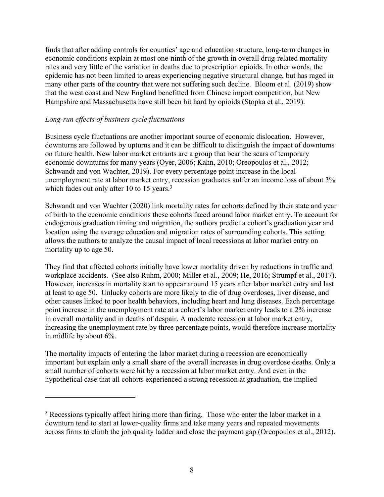finds that after adding controls for counties' age and education structure, long-term changes in economic conditions explain at most one-ninth of the growth in overall drug-related mortality rates and very little of the variation in deaths due to prescription opioids. In other words, the epidemic has not been limited to areas experiencing negative structural change, but has raged in many other parts of the country that were not suffering such decline. Bloom et al. (2019) show that the west coast and New England benefitted from Chinese import competition, but New Hampshire and Massachusetts have still been hit hard by opioids (Stopka et al., 2019).

#### *Long-run effects of business cycle fluctuations*

Business cycle fluctuations are another important source of economic dislocation. However, downturns are followed by upturns and it can be difficult to distinguish the impact of downturns on future health. New labor market entrants are a group that bear the scars of temporary economic downturns for many years (Oyer, 2006; Kahn, 2010; Oreopoulos et al., 2012; Schwandt and von Wachter, 2019). For every percentage point increase in the local unemployment rate at labor market entry, recession graduates suffer an income loss of about 3% which fades out only after 10 to 15 years.<sup>3</sup>

Schwandt and von Wachter (2020) link mortality rates for cohorts defined by their state and year of birth to the economic conditions these cohorts faced around labor market entry. To account for endogenous graduation timing and migration, the authors predict a cohort's graduation year and location using the average education and migration rates of surrounding cohorts. This setting allows the authors to analyze the causal impact of local recessions at labor market entry on mortality up to age 50.

They find that affected cohorts initially have lower mortality driven by reductions in traffic and workplace accidents. (See also Ruhm, 2000; Miller et al., 2009; He, 2016; Strumpf et al., 2017). However, increases in mortality start to appear around 15 years after labor market entry and last at least to age 50. Unlucky cohorts are more likely to die of drug overdoses, liver disease, and other causes linked to poor health behaviors, including heart and lung diseases. Each percentage point increase in the unemployment rate at a cohort's labor market entry leads to a 2% increase in overall mortality and in deaths of despair. A moderate recession at labor market entry, increasing the unemployment rate by three percentage points, would therefore increase mortality in midlife by about 6%.

The mortality impacts of entering the labor market during a recession are economically important but explain only a small share of the overall increases in drug overdose deaths. Only a small number of cohorts were hit by a recession at labor market entry. And even in the hypothetical case that all cohorts experienced a strong recession at graduation, the implied

<sup>&</sup>lt;sup>3</sup> Recessions typically affect hiring more than firing. Those who enter the labor market in a downturn tend to start at lower-quality firms and take many years and repeated movements across firms to climb the job quality ladder and close the payment gap (Oreopoulos et al., 2012).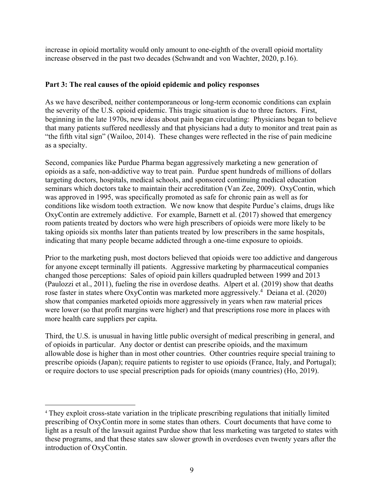increase in opioid mortality would only amount to one-eighth of the overall opioid mortality increase observed in the past two decades (Schwandt and von Wachter, 2020, p.16).

# **Part 3: The real causes of the opioid epidemic and policy responses**

As we have described, neither contemporaneous or long-term economic conditions can explain the severity of the U.S. opioid epidemic. This tragic situation is due to three factors. First, beginning in the late 1970s, new ideas about pain began circulating: Physicians began to believe that many patients suffered needlessly and that physicians had a duty to monitor and treat pain as "the fifth vital sign" (Wailoo, 2014). These changes were reflected in the rise of pain medicine as a specialty.

Second, companies like Purdue Pharma began aggressively marketing a new generation of opioids as a safe, non-addictive way to treat pain. Purdue spent hundreds of millions of dollars targeting doctors, hospitals, medical schools, and sponsored continuing medical education seminars which doctors take to maintain their accreditation (Van Zee, 2009). OxyContin, which was approved in 1995, was specifically promoted as safe for chronic pain as well as for conditions like wisdom tooth extraction. We now know that despite Purdue's claims, drugs like OxyContin are extremely addictive. For example, Barnett et al. (2017) showed that emergency room patients treated by doctors who were high prescribers of opioids were more likely to be taking opioids six months later than patients treated by low prescribers in the same hospitals, indicating that many people became addicted through a one-time exposure to opioids.

Prior to the marketing push, most doctors believed that opioids were too addictive and dangerous for anyone except terminally ill patients. Aggressive marketing by pharmaceutical companies changed those perceptions: Sales of opioid pain killers quadrupled between 1999 and 2013 (Paulozzi et al., 2011), fueling the rise in overdose deaths. Alpert et al. (2019) show that deaths rose faster in states where OxyContin was marketed more aggressively.<sup>4</sup> Deiana et al. (2020) show that companies marketed opioids more aggressively in years when raw material prices were lower (so that profit margins were higher) and that prescriptions rose more in places with more health care suppliers per capita.

Third, the U.S. is unusual in having little public oversight of medical prescribing in general, and of opioids in particular. Any doctor or dentist can prescribe opioids, and the maximum allowable dose is higher than in most other countries. Other countries require special training to prescribe opioids (Japan); require patients to register to use opioids (France, Italy, and Portugal); or require doctors to use special prescription pads for opioids (many countries) (Ho, 2019).

<sup>4</sup> They exploit cross-state variation in the triplicate prescribing regulations that initially limited prescribing of OxyContin more in some states than others. Court documents that have come to light as a result of the lawsuit against Purdue show that less marketing was targeted to states with these programs, and that these states saw slower growth in overdoses even twenty years after the introduction of OxyContin.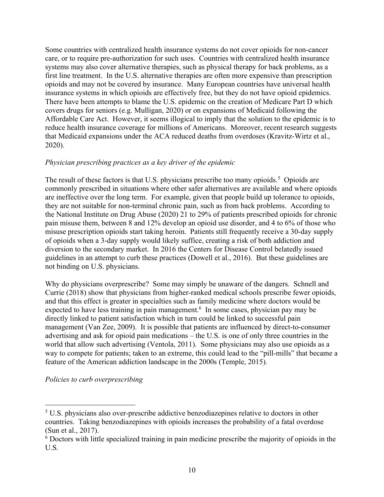Some countries with centralized health insurance systems do not cover opioids for non-cancer care, or to require pre-authorization for such uses. Countries with centralized health insurance systems may also cover alternative therapies, such as physical therapy for back problems, as a first line treatment. In the U.S. alternative therapies are often more expensive than prescription opioids and may not be covered by insurance. Many European countries have universal health insurance systems in which opioids are effectively free, but they do not have opioid epidemics. There have been attempts to blame the U.S. epidemic on the creation of Medicare Part D which covers drugs for seniors (e.g. Mulligan, 2020) or on expansions of Medicaid following the Affordable Care Act. However, it seems illogical to imply that the solution to the epidemic is to reduce health insurance coverage for millions of Americans. Moreover, recent research suggests that Medicaid expansions under the ACA reduced deaths from overdoses (Kravitz-Wirtz et al., 2020).

# *Physician prescribing practices as a key driver of the epidemic*

The result of these factors is that U.S. physicians prescribe too many opioids.<sup>5</sup> Opioids are commonly prescribed in situations where other safer alternatives are available and where opioids are ineffective over the long term. For example, given that people build up tolerance to opioids, they are not suitable for non-terminal chronic pain, such as from back problems. According to the National Institute on Drug Abuse (2020) 21 to 29% of patients prescribed opioids for chronic pain misuse them, between 8 and 12% develop an opioid use disorder, and 4 to 6% of those who misuse prescription opioids start taking heroin. Patients still frequently receive a 30-day supply of opioids when a 3-day supply would likely suffice, creating a risk of both addiction and diversion to the secondary market. In 2016 the Centers for Disease Control belatedly issued guidelines in an attempt to curb these practices (Dowell et al., 2016). But these guidelines are not binding on U.S. physicians.

Why do physicians overprescribe? Some may simply be unaware of the dangers. Schnell and Currie (2018) show that physicians from higher-ranked medical schools prescribe fewer opioids, and that this effect is greater in specialties such as family medicine where doctors would be expected to have less training in pain management.<sup>6</sup> In some cases, physician pay may be directly linked to patient satisfaction which in turn could be linked to successful pain management (Van Zee, 2009). It is possible that patients are influenced by direct-to-consumer advertising and ask for opioid pain medications – the U.S. is one of only three countries in the world that allow such advertising (Ventola, 2011). Some physicians may also use opioids as a way to compete for patients; taken to an extreme, this could lead to the "pill-mills" that became a feature of the American addiction landscape in the 2000s (Temple, 2015).

#### *Policies to curb overprescribing*

<sup>5</sup> U.S. physicians also over-prescribe addictive benzodiazepines relative to doctors in other countries. Taking benzodiazepines with opioids increases the probability of a fatal overdose (Sun et al., 2017).

<sup>6</sup> Doctors with little specialized training in pain medicine prescribe the majority of opioids in the U.S.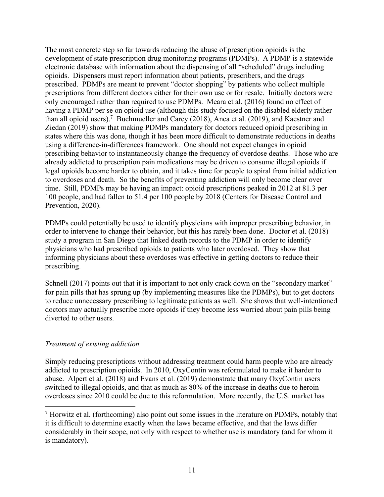The most concrete step so far towards reducing the abuse of prescription opioids is the development of state prescription drug monitoring programs (PDMPs). A PDMP is a statewide electronic database with information about the dispensing of all "scheduled" drugs including opioids. Dispensers must report information about patients, prescribers, and the drugs prescribed. PDMPs are meant to prevent "doctor shopping" by patients who collect multiple prescriptions from different doctors either for their own use or for resale. Initially doctors were only encouraged rather than required to use PDMPs. Meara et al. (2016) found no effect of having a PDMP per se on opioid use (although this study focused on the disabled elderly rather than all opioid users).<sup>7</sup> Buchmueller and Carey (2018), Anca et al. (2019), and Kaestner and Ziedan (2019) show that making PDMPs mandatory for doctors reduced opioid prescribing in states where this was done, though it has been more difficult to demonstrate reductions in deaths using a difference-in-differences framework. One should not expect changes in opioid prescribing behavior to instantaneously change the frequency of overdose deaths. Those who are already addicted to prescription pain medications may be driven to consume illegal opioids if legal opioids become harder to obtain, and it takes time for people to spiral from initial addiction to overdoses and death. So the benefits of preventing addiction will only become clear over time. Still, PDMPs may be having an impact: opioid prescriptions peaked in 2012 at 81.3 per 100 people, and had fallen to 51.4 per 100 people by 2018 (Centers for Disease Control and Prevention, 2020).

PDMPs could potentially be used to identify physicians with improper prescribing behavior, in order to intervene to change their behavior, but this has rarely been done. Doctor et al. (2018) study a program in San Diego that linked death records to the PDMP in order to identify physicians who had prescribed opioids to patients who later overdosed. They show that informing physicians about these overdoses was effective in getting doctors to reduce their prescribing.

Schnell (2017) points out that it is important to not only crack down on the "secondary market" for pain pills that has sprung up (by implementing measures like the PDMPs), but to get doctors to reduce unnecessary prescribing to legitimate patients as well. She shows that well-intentioned doctors may actually prescribe more opioids if they become less worried about pain pills being diverted to other users.

# *Treatment of existing addiction*

Simply reducing prescriptions without addressing treatment could harm people who are already addicted to prescription opioids. In 2010, OxyContin was reformulated to make it harder to abuse. Alpert et al. (2018) and Evans et al. (2019) demonstrate that many OxyContin users switched to illegal opioids, and that as much as 80% of the increase in deaths due to heroin overdoses since 2010 could be due to this reformulation. More recently, the U.S. market has

<sup>7</sup> Horwitz et al. (forthcoming) also point out some issues in the literature on PDMPs, notably that it is difficult to determine exactly when the laws became effective, and that the laws differ considerably in their scope, not only with respect to whether use is mandatory (and for whom it is mandatory).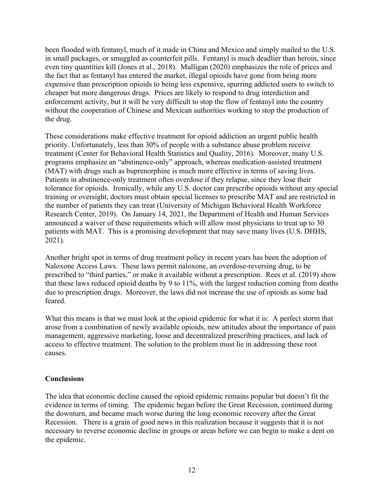been flooded with fentanyl, much of it made in China and Mexico and simply mailed to the U.S. in small packages, or smuggled as counterfeit pills. Fentanyl is much deadlier than heroin, since even tiny quantities kill (Jones et al., 2018). Mulligan (2020) emphasizes the role of prices and the fact that as fentanyl has entered the market, illegal opioids have gone from being more expensive than prescription opioids to being less expensive, spurring addicted users to switch to cheaper but more dangerous drugs. Prices are likely to respond to drug interdiction and enforcement activity, but it will be very difficult to stop the flow of fentanyl into the country without the cooperation of Chinese and Mexican authorities working to stop the production of the drug.

These considerations make effective treatment for opioid addiction an urgent public health priority. Unfortunately, less than 30% of people with a substance abuse problem receive treatment (Center for Behavioral Health Statistics and Quality, 2016). Moreover, many U.S. programs emphasize an "abstinence-only" approach, whereas medication-assisted treatment (MAT) with drugs such as buprenorphine is much more effective in terms of saving lives. Patients in abstinence-only treatment often overdose if they relapse, since they lose their tolerance for opioids. Ironically, while any U.S. doctor can prescribe opioids without any special training or oversight, doctors must obtain special licenses to prescribe MAT and are restricted in the number of patients they can treat (University of Michigan Behavioral Health Workforce Research Center, 2019). On January 14, 2021, the Department of Health and Human Services announced a waiver of these requirements which will allow most physicians to treat up to 30 patients with MAT. This is a promising development that may save many lives (U.S. DHHS, 2021).

Another bright spot in terms of drug treatment policy in recent years has been the adoption of Naloxone Access Laws. These laws permit naloxone, an overdose-reversing drug, to be prescribed to "third parties," or make it available without a prescription. Rees et al. (2019) show that these laws reduced opioid deaths by 9 to 11%, with the largest reduction coming from deaths due to prescription drugs. Moreover, the laws did not increase the use of opioids as some had feared.

What this means is that we must look at the opioid epidemic for what it is: A perfect storm that arose from a combination of newly available opioids, new attitudes about the importance of pain management, aggressive marketing, loose and decentralized prescribing practices, and lack of access to effective treatment. The solution to the problem must lie in addressing these root causes.

# **Conclusions**

The idea that economic decline caused the opioid epidemic remains popular but doesn't fit the evidence in terms of timing. The epidemic began before the Great Recession, continued during the downturn, and became much worse during the long economic recovery after the Great Recession. There is a grain of good news in this realization because it suggests that it is not necessary to reverse economic decline in groups or areas before we can begin to make a dent on the epidemic.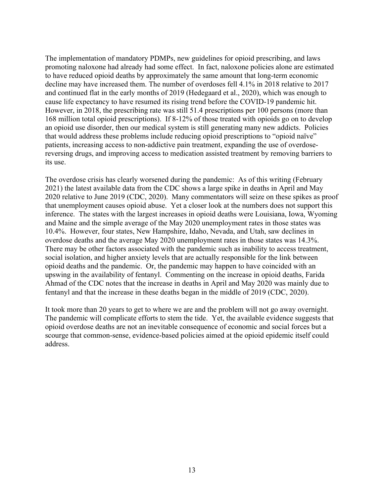The implementation of mandatory PDMPs, new guidelines for opioid prescribing, and laws promoting naloxone had already had some effect. In fact, naloxone policies alone are estimated to have reduced opioid deaths by approximately the same amount that long-term economic decline may have increased them. The number of overdoses fell 4.1% in 2018 relative to 2017 and continued flat in the early months of 2019 (Hedegaard et al., 2020), which was enough to cause life expectancy to have resumed its rising trend before the COVID-19 pandemic hit. However, in 2018, the prescribing rate was still 51.4 prescriptions per 100 persons (more than 168 million total opioid prescriptions). If 8-12% of those treated with opioids go on to develop an opioid use disorder, then our medical system is still generating many new addicts. Policies that would address these problems include reducing opioid prescriptions to "opioid naïve" patients, increasing access to non-addictive pain treatment, expanding the use of overdosereversing drugs, and improving access to medication assisted treatment by removing barriers to its use.

The overdose crisis has clearly worsened during the pandemic: As of this writing (February 2021) the latest available data from the CDC shows a large spike in deaths in April and May 2020 relative to June 2019 (CDC, 2020). Many commentators will seize on these spikes as proof that unemployment causes opioid abuse. Yet a closer look at the numbers does not support this inference. The states with the largest increases in opioid deaths were Louisiana, Iowa, Wyoming and Maine and the simple average of the May 2020 unemployment rates in those states was 10.4%. However, four states, New Hampshire, Idaho, Nevada, and Utah, saw declines in overdose deaths and the average May 2020 unemployment rates in those states was 14.3%. There may be other factors associated with the pandemic such as inability to access treatment, social isolation, and higher anxiety levels that are actually responsible for the link between opioid deaths and the pandemic. Or, the pandemic may happen to have coincided with an upswing in the availability of fentanyl. Commenting on the increase in opioid deaths, Farida Ahmad of the CDC notes that the increase in deaths in April and May 2020 was mainly due to fentanyl and that the increase in these deaths began in the middle of 2019 (CDC, 2020).

It took more than 20 years to get to where we are and the problem will not go away overnight. The pandemic will complicate efforts to stem the tide. Yet, the available evidence suggests that opioid overdose deaths are not an inevitable consequence of economic and social forces but a scourge that common-sense, evidence-based policies aimed at the opioid epidemic itself could address.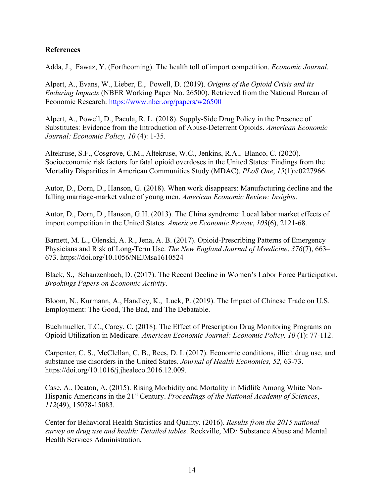#### **References**

Adda, J., Fawaz, Y. (Forthcoming). The health toll of import competition. *Economic Journal*.

Alpert, A., Evans, W., Lieber, E., Powell, D. (2019). *Origins of the Opioid Crisis and its Enduring Impacts* (NBER Working Paper No. 26500). Retrieved from the National Bureau of Economic Research: https://www.nber.org/papers/w26500

Alpert, A., Powell, D., Pacula, R. L. (2018). Supply-Side Drug Policy in the Presence of Substitutes: Evidence from the Introduction of Abuse-Deterrent Opioids. *American Economic Journal: Economic Policy, 10* (4): 1-35.

Altekruse, S.F., Cosgrove, C.M., Altekruse, W.C., Jenkins, R.A., Blanco, C. (2020). Socioeconomic risk factors for fatal opioid overdoses in the United States: Findings from the Mortality Disparities in American Communities Study (MDAC). *PLoS One*, *15*(1):e0227966.

Autor, D., Dorn, D., Hanson, G. (2018). When work disappears: Manufacturing decline and the falling marriage-market value of young men. *American Economic Review: Insights*.

Autor, D., Dorn, D., Hanson, G.H. (2013). The China syndrome: Local labor market effects of import competition in the United States. *American Economic Review*, *103*(6), 2121-68.

Barnett, M. L., Olenski, A. R., Jena, A. B. (2017). Opioid-Prescribing Patterns of Emergency Physicians and Risk of Long-Term Use. *The New England Journal of Msedicine*, *376*(7), 663– 673. https://doi.org/10.1056/NEJMsa1610524

Black, S., Schanzenbach, D. (2017). The Recent Decline in Women's Labor Force Participation. *Brookings Papers on Economic Activity*.

Bloom, N., Kurmann, A., Handley, K., Luck, P. (2019). The Impact of Chinese Trade on U.S. Employment: The Good, The Bad, and The Debatable.

Buchmueller, T.C., Carey, C. (2018)*.* The Effect of Prescription Drug Monitoring Programs on Opioid Utilization in Medicare. *American Economic Journal: Economic Policy, 10* (1): 77-112.

Carpenter, C. S., McClellan, C. B., Rees, D. I. (2017). Economic conditions, illicit drug use, and substance use disorders in the United States. *Journal of Health Economics, 52,* 63-73. https://doi.org/10.1016/j.jhealeco.2016.12.009.

Case, A., Deaton, A. (2015). Rising Morbidity and Mortality in Midlife Among White Non-Hispanic Americans in the 21st Century. *Proceedings of the National Academy of Sciences*, *112*(49), 15078-15083.

Center for Behavioral Health Statistics and Quality*.* (2016)*. Results from the 2015 national survey on drug use and health: Detailed tables*. Rockville, MD*:* Substance Abuse and Mental Health Services Administration*.*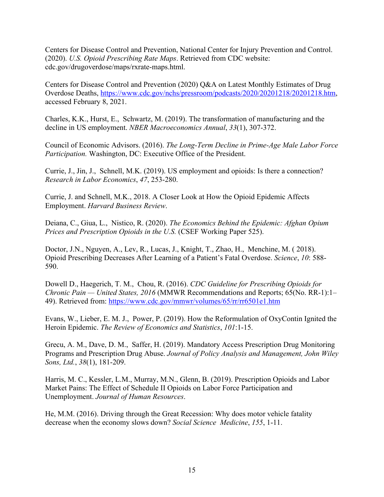Centers for Disease Control and Prevention, National Center for Injury Prevention and Control. (2020). *U.S. Opioid Prescribing Rate Maps*. Retrieved from CDC website: cdc.gov/drugoverdose/maps/rxrate-maps.html.

Centers for Disease Control and Prevention (2020) Q&A on Latest Monthly Estimates of Drug Overdose Deaths, https://www.cdc.gov/nchs/pressroom/podcasts/2020/20201218/20201218.htm, accessed February 8, 2021.

Charles, K.K., Hurst, E., Schwartz, M. (2019). The transformation of manufacturing and the decline in US employment. *NBER Macroeconomics Annual*, *33*(1), 307-372.

Council of Economic Advisors. (2016). *The Long-Term Decline in Prime-Age Male Labor Force Participation.* Washington, DC: Executive Office of the President.

Currie, J., Jin, J., Schnell, M.K. (2019). US employment and opioids: Is there a connection? *Research in Labor Economics*, *47*, 253-280.

Currie, J. and Schnell, M.K., 2018. A Closer Look at How the Opioid Epidemic Affects Employment. *Harvard Business Review*.

Deiana, C., Giua, L., Nistico, R. (2020). *The Economics Behind the Epidemic: Afghan Opium Prices and Prescription Opioids in the U.S.* (CSEF Working Paper 525).

Doctor, J.N., Nguyen, A., Lev, R., Lucas, J., Knight, T., Zhao, H., Menchine, M. ( 2018). Opioid Prescribing Decreases After Learning of a Patient's Fatal Overdose. *Science*, *10*: 588- 590.

Dowell D., Haegerich, T. M., Chou, R. (2016). *CDC Guideline for Prescribing Opioids for Chronic Pain — United States, 2016* (MMWR Recommendations and Reports; 65(No. RR-1):1– 49). Retrieved from: https://www.cdc.gov/mmwr/volumes/65/rr/rr6501e1.htm

Evans, W., Lieber, E. M. J., Power, P. (2019). How the Reformulation of OxyContin Ignited the Heroin Epidemic. *The Review of Economics and Statistics*, *101*:1-15.

Grecu, A. M., Dave, D. M., Saffer, H. (2019). Mandatory Access Prescription Drug Monitoring Programs and Prescription Drug Abuse. *Journal of Policy Analysis and Management, John Wiley Sons, Ltd.*, *38*(1), 181-209.

Harris, M. C., Kessler, L.M., Murray, M.N., Glenn, B. (2019). Prescription Opioids and Labor Market Pains: The Effect of Schedule II Opioids on Labor Force Participation and Unemployment. *Journal of Human Resources*.

He, M.M. (2016). Driving through the Great Recession: Why does motor vehicle fatality decrease when the economy slows down? *Social Science Medicine*, *155*, 1-11.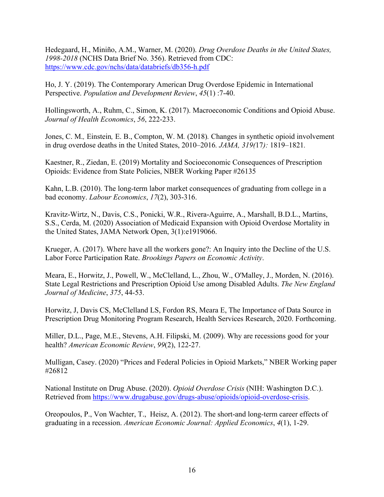Hedegaard, H., Miniño, A.M., Warner, M. (2020). *Drug Overdose Deaths in the United States, 1998-2018* (NCHS Data Brief No. 356). Retrieved from CDC: https://www.cdc.gov/nchs/data/databriefs/db356-h.pdf

Ho, J. Y. (2019). The Contemporary American Drug Overdose Epidemic in International Perspective. *Population and Development Review*, *45*(1) :7-40.

Hollingsworth, A., Ruhm, C., Simon, K. (2017). Macroeconomic Conditions and Opioid Abuse. *Journal of Health Economics*, *56*, 222-233.

Jones, C. M.*,* Einstein*,* E. B., Compton, W. M*.* (2018)*.* Changes in synthetic opioid involvement in drug overdose deaths in the United States, 2010–2016*. JAMA, 319(*17*):* 1819*–*1821*.*

Kaestner, R., Ziedan, E. (2019) Mortality and Socioeconomic Consequences of Prescription Opioids: Evidence from State Policies, NBER Working Paper #26135

Kahn, L.B. (2010). The long-term labor market consequences of graduating from college in a bad economy. *Labour Economics*, *17*(2), 303-316.

Kravitz-Wirtz, N., Davis, C.S., Ponicki, W.R., Rivera-Aguirre, A., Marshall, B.D.L., Martins, S.S., Cerda, M. (2020) Association of Medicaid Expansion with Opioid Overdose Mortality in the United States, JAMA Network Open, 3(1):e1919066.

Krueger, A. (2017). Where have all the workers gone?: An Inquiry into the Decline of the U.S. Labor Force Participation Rate. *Brookings Papers on Economic Activity*.

Meara, E., Horwitz, J., Powell, W., McClelland, L., Zhou, W., O'Malley, J., Morden, N. (2016). State Legal Restrictions and Prescription Opioid Use among Disabled Adults. *The New England Journal of Medicine*, *375*, 44-53.

Horwitz, J, Davis CS, McClelland LS, Fordon RS, Meara E, The Importance of Data Source in Prescription Drug Monitoring Program Research, Health Services Research, 2020. Forthcoming.

Miller, D.L., Page, M.E., Stevens, A.H. Filipski, M. (2009). Why are recessions good for your health? *American Economic Review*, *99*(2), 122-27.

Mulligan, Casey. (2020) "Prices and Federal Policies in Opioid Markets," NBER Working paper #26812

National Institute on Drug Abuse. (2020). *Opioid Overdose Crisis* (NIH: Washington D.C.). Retrieved from https://www.drugabuse.gov/drugs-abuse/opioids/opioid-overdose-crisis.

Oreopoulos, P., Von Wachter, T., Heisz, A. (2012). The short-and long-term career effects of graduating in a recession. *American Economic Journal: Applied Economics*, *4*(1), 1-29.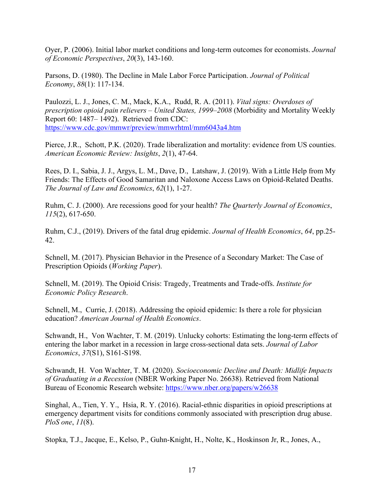Oyer, P. (2006). Initial labor market conditions and long-term outcomes for economists. *Journal of Economic Perspectives*, *20*(3), 143-160.

Parsons, D. (1980). The Decline in Male Labor Force Participation. *Journal of Political Economy*, *88*(1): 117-134.

Paulozzi, L. J., Jones, C. M., Mack, K.A., Rudd, R. A. (2011). *Vital signs: Overdoses of prescription opioid pain relievers – United States, 1999–2008* (Morbidity and Mortality Weekly Report 60: 1487– 1492). Retrieved from CDC: https://www.cdc.gov/mmwr/preview/mmwrhtml/mm6043a4.htm

Pierce, J.R., Schott, P.K. (2020). Trade liberalization and mortality: evidence from US counties. *American Economic Review: Insights*, *2*(1), 47-64.

Rees, D. I., Sabia, J. J., Argys, L. M., Dave, D., Latshaw, J. (2019). With a Little Help from My Friends: The Effects of Good Samaritan and Naloxone Access Laws on Opioid-Related Deaths. *The Journal of Law and Economics*, *62*(1), 1-27.

Ruhm, C. J. (2000). Are recessions good for your health? *The Quarterly Journal of Economics*, *115*(2), 617-650.

Ruhm, C.J., (2019). Drivers of the fatal drug epidemic. *Journal of Health Economics*, *64*, pp.25- 42.

Schnell, M. (2017). Physician Behavior in the Presence of a Secondary Market: The Case of Prescription Opioids (*Working Paper*).

Schnell, M. (2019). The Opioid Crisis: Tragedy, Treatments and Trade-offs. *Institute for Economic Policy Research*.

Schnell, M., Currie, J. (2018). Addressing the opioid epidemic: Is there a role for physician education? *American Journal of Health Economics*.

Schwandt, H., Von Wachter, T. M. (2019). Unlucky cohorts: Estimating the long-term effects of entering the labor market in a recession in large cross-sectional data sets. *Journal of Labor Economics*, *37*(S1), S161-S198.

Schwandt, H. Von Wachter, T. M. (2020). *Socioeconomic Decline and Death: Midlife Impacts of Graduating in a Recession* (NBER Working Paper No. 26638). Retrieved from National Bureau of Economic Research website: https://www.nber.org/papers/w26638

Singhal, A., Tien, Y. Y., Hsia, R. Y. (2016). Racial-ethnic disparities in opioid prescriptions at emergency department visits for conditions commonly associated with prescription drug abuse. *PloS one*, *11*(8).

Stopka, T.J., Jacque, E., Kelso, P., Guhn-Knight, H., Nolte, K., Hoskinson Jr, R., Jones, A.,